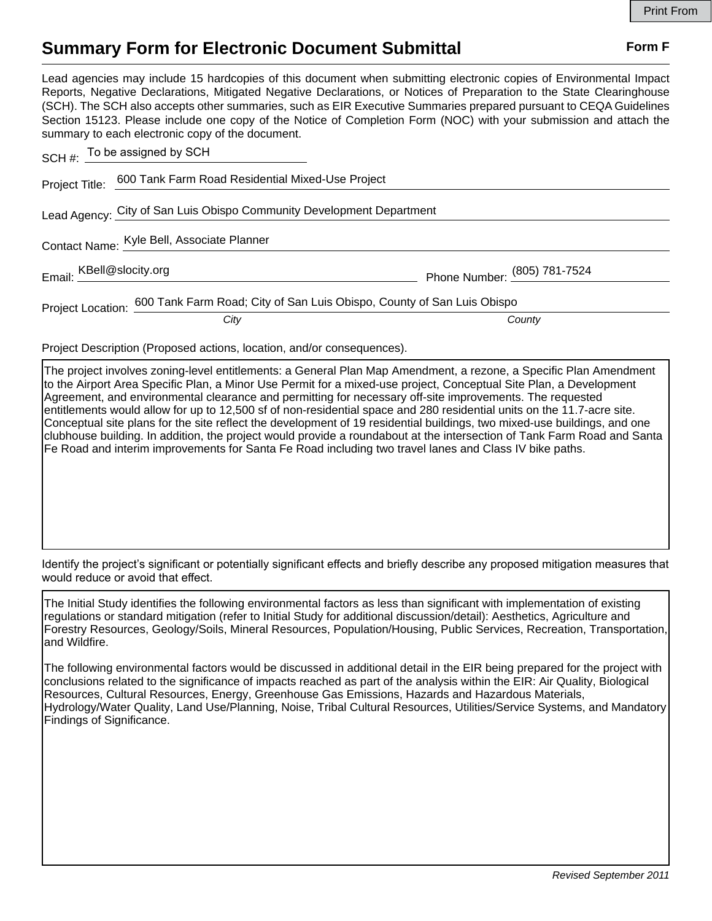## **Summary Form for Electronic Document Submittal Form F Form F**

Lead agencies may include 15 hardcopies of this document when submitting electronic copies of Environmental Impact Reports, Negative Declarations, Mitigated Negative Declarations, or Notices of Preparation to the State Clearinghouse (SCH). The SCH also accepts other summaries, such as EIR Executive Summaries prepared pursuant to CEQA Guidelines Section 15123. Please include one copy of the Notice of Completion Form (NOC) with your submission and attach the summary to each electronic copy of the document.

| SCH $#$ : To be assigned by SCH                                       |                                                                                          |                              |
|-----------------------------------------------------------------------|------------------------------------------------------------------------------------------|------------------------------|
|                                                                       | Project Title: 600 Tank Farm Road Residential Mixed-Use Project                          |                              |
| Lead Agency: City of San Luis Obispo Community Development Department |                                                                                          |                              |
| Contact Name: Kyle Bell, Associate Planner                            |                                                                                          |                              |
| Email: KBell@slocity.org                                              |                                                                                          | Phone Number: (805) 781-7524 |
|                                                                       | Project Location: 600 Tank Farm Road; City of San Luis Obispo, County of San Luis Obispo |                              |
|                                                                       | City                                                                                     | County                       |

Project Description (Proposed actions, location, and/or consequences).

The project involves zoning-level entitlements: a General Plan Map Amendment, a rezone, a Specific Plan Amendment to the Airport Area Specific Plan, a Minor Use Permit for a mixed-use project, Conceptual Site Plan, a Development Agreement, and environmental clearance and permitting for necessary off-site improvements. The requested entitlements would allow for up to 12,500 sf of non-residential space and 280 residential units on the 11.7-acre site. Conceptual site plans for the site reflect the development of 19 residential buildings, two mixed-use buildings, and one clubhouse building. In addition, the project would provide a roundabout at the intersection of Tank Farm Road and Santa Fe Road and interim improvements for Santa Fe Road including two travel lanes and Class IV bike paths.

Identify the project's significant or potentially significant effects and briefly describe any proposed mitigation measures that would reduce or avoid that effect.

The Initial Study identifies the following environmental factors as less than significant with implementation of existing regulations or standard mitigation (refer to Initial Study for additional discussion/detail): Aesthetics, Agriculture and Forestry Resources, Geology/Soils, Mineral Resources, Population/Housing, Public Services, Recreation, Transportation, and Wildfire.

The following environmental factors would be discussed in additional detail in the EIR being prepared for the project with conclusions related to the significance of impacts reached as part of the analysis within the EIR: Air Quality, Biological Resources, Cultural Resources, Energy, Greenhouse Gas Emissions, Hazards and Hazardous Materials, Hydrology/Water Quality, Land Use/Planning, Noise, Tribal Cultural Resources, Utilities/Service Systems, and Mandatory Findings of Significance.